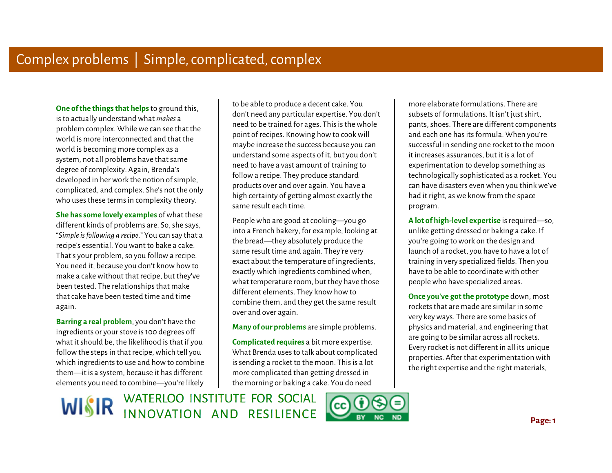**One of the things that helps** to ground this, is to actually understand what *makes* a problem complex. While we can see that the world is more interconnected and that the world is becoming more complex as a system, not all problems have that same degree of complexity. Again, Brenda's developed in her work the notion of simple, complicated, and complex. She's not the only who uses these terms in complexity theory.

**She has some lovely examples** of what these different kinds of problems are. So, she says, "*Simple is following a recipe.*" You can say that a recipe's essential. You want to bake a cake. That's your problem, so you follow a recipe. You need it, because you don't know how to make a cake without that recipe, but they've been tested. The relationships that make that cake have been tested time and time again.

**Barring a real problem**, you don't have the ingredients or your stove is 100 degrees off what it should be, the likelihood is that if you follow the steps in that recipe, which tell you which ingredients to use and how to combine them—it is a system, because it has different elements you need to combine—you're likely

 to be able to produce a decent cake. You don't need any particular expertise. You don't need to be trained for ages. This is the whole point of recipes. Knowing how to cook will maybe increase the success because you can understand some aspects of it, but you don't need to have a vast amount of training to follow a recipe. They produce standard products over and over again. You have a high certainty of getting almost exactly the same result each time.

People who are good at cooking—you go into a French bakery, for example, looking at the bread—they absolutely produce the same result time and again. They're very exact about the temperature of ingredients, exactly which ingredients combined when, what temperature room, but they have those different elements. They know how to combine them, and they get the same result over and over again.

**Many of our problems** are simple problems.

**Complicated requires** a bit more expertise. What Brenda uses to talk about complicated is sending a rocket to the moon. This is a lot more complicated than getting dressed in the morning or baking a cake. You do need

WISIR WATERLOO INSTITUTE FOR SOCIAL



more elaborate formulations. There are subsets of formulations. It isn't just shirt, pants, shoes. There are different components and each one has its formula. When you're successful in sending one rocket to the moon it increases assurances, but it is a lot of experimentation to develop something as technologically sophisticated as a rocket. You can have disasters even when you think we've had it right, as we know from the space program.

**A lot of high-level expertise** is required—so, unlike getting dressed or baking a cake. If you're going to work on the design and launch of a rocket, you have to have a lot of training in very specialized fields. Then you have to be able to coordinate with other people who have specialized areas.

**Once you've got the prototype** down, most rockets that are made are similar in some very key ways. There are some basics of physics and material, and engineering that are going to be similar across all rockets. Every rocket is not different in all its unique properties. After that experimentation with the right expertise and the right materials,